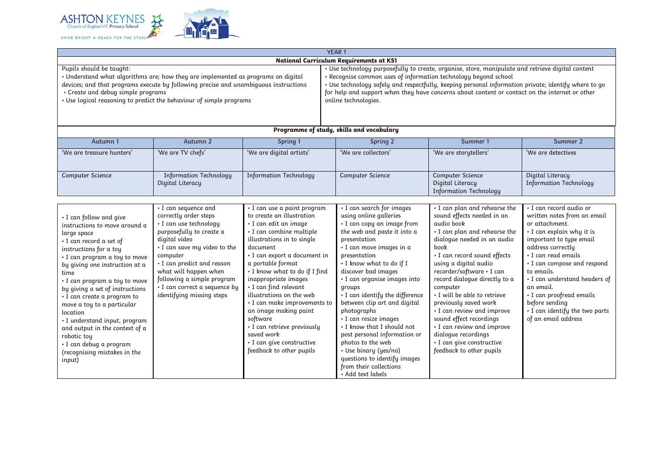

|                                                                                                                                                                                                                                                                                                                                                                                                                                                                                                           |                                                                                                                                                                                                                                                                                                                     |                                                                                                                                                                                                                                                                                                                                                                                                                                                                                                       | YEAR 1                                                                                                                                                                                                                                                                                                                                                                                                                                                                                                                                                                          |                                                                                                                                                                                                                                                                                                                                                                                                                                                                                                                      |                                                                                                                                                                                                                                                                                                                                                                                |
|-----------------------------------------------------------------------------------------------------------------------------------------------------------------------------------------------------------------------------------------------------------------------------------------------------------------------------------------------------------------------------------------------------------------------------------------------------------------------------------------------------------|---------------------------------------------------------------------------------------------------------------------------------------------------------------------------------------------------------------------------------------------------------------------------------------------------------------------|-------------------------------------------------------------------------------------------------------------------------------------------------------------------------------------------------------------------------------------------------------------------------------------------------------------------------------------------------------------------------------------------------------------------------------------------------------------------------------------------------------|---------------------------------------------------------------------------------------------------------------------------------------------------------------------------------------------------------------------------------------------------------------------------------------------------------------------------------------------------------------------------------------------------------------------------------------------------------------------------------------------------------------------------------------------------------------------------------|----------------------------------------------------------------------------------------------------------------------------------------------------------------------------------------------------------------------------------------------------------------------------------------------------------------------------------------------------------------------------------------------------------------------------------------------------------------------------------------------------------------------|--------------------------------------------------------------------------------------------------------------------------------------------------------------------------------------------------------------------------------------------------------------------------------------------------------------------------------------------------------------------------------|
|                                                                                                                                                                                                                                                                                                                                                                                                                                                                                                           |                                                                                                                                                                                                                                                                                                                     |                                                                                                                                                                                                                                                                                                                                                                                                                                                                                                       | National Curriculum Requirements at KS1                                                                                                                                                                                                                                                                                                                                                                                                                                                                                                                                         |                                                                                                                                                                                                                                                                                                                                                                                                                                                                                                                      |                                                                                                                                                                                                                                                                                                                                                                                |
| Pupils should be taught:<br>Understand what algorithms are; how they are implemented as programs on digital<br>devices; and that programs execute by following precise and unambiguous instructions<br>• Create and debug simple programs<br>Use logical reasoning to predict the behaviour of simple programs                                                                                                                                                                                            |                                                                                                                                                                                                                                                                                                                     |                                                                                                                                                                                                                                                                                                                                                                                                                                                                                                       | . Use technology purposefully to create, organise, store, manipulate and retrieve digital content<br>· Recognise common uses of information technology beyond school<br>· Use technology safely and respectfully, keeping personal information private; identify where to go<br>for help and support when they have concerns about content or contact on the internet or other<br>online technologies.                                                                                                                                                                          |                                                                                                                                                                                                                                                                                                                                                                                                                                                                                                                      |                                                                                                                                                                                                                                                                                                                                                                                |
|                                                                                                                                                                                                                                                                                                                                                                                                                                                                                                           |                                                                                                                                                                                                                                                                                                                     |                                                                                                                                                                                                                                                                                                                                                                                                                                                                                                       | Programme of study, skills and vocabulary                                                                                                                                                                                                                                                                                                                                                                                                                                                                                                                                       |                                                                                                                                                                                                                                                                                                                                                                                                                                                                                                                      |                                                                                                                                                                                                                                                                                                                                                                                |
| Autumn 1                                                                                                                                                                                                                                                                                                                                                                                                                                                                                                  | Autumn 2                                                                                                                                                                                                                                                                                                            | Spring 1                                                                                                                                                                                                                                                                                                                                                                                                                                                                                              | Spring 2                                                                                                                                                                                                                                                                                                                                                                                                                                                                                                                                                                        | Summer 1                                                                                                                                                                                                                                                                                                                                                                                                                                                                                                             | Summer 2                                                                                                                                                                                                                                                                                                                                                                       |
| 'We are treasure hunters'                                                                                                                                                                                                                                                                                                                                                                                                                                                                                 | 'We are TV chefs'                                                                                                                                                                                                                                                                                                   | 'We are digital artists'                                                                                                                                                                                                                                                                                                                                                                                                                                                                              | 'We are collectors'                                                                                                                                                                                                                                                                                                                                                                                                                                                                                                                                                             | 'We are storytellers'                                                                                                                                                                                                                                                                                                                                                                                                                                                                                                | 'We are detectives                                                                                                                                                                                                                                                                                                                                                             |
| <b>Computer Science</b>                                                                                                                                                                                                                                                                                                                                                                                                                                                                                   | <b>Information Technology</b><br>Digital Literacy                                                                                                                                                                                                                                                                   | <b>Information Technology</b>                                                                                                                                                                                                                                                                                                                                                                                                                                                                         | Computer Science                                                                                                                                                                                                                                                                                                                                                                                                                                                                                                                                                                | Computer Science<br>Digital Literacy<br><b>Information Technology</b>                                                                                                                                                                                                                                                                                                                                                                                                                                                | Digital Literacy<br><b>Information Technology</b>                                                                                                                                                                                                                                                                                                                              |
|                                                                                                                                                                                                                                                                                                                                                                                                                                                                                                           |                                                                                                                                                                                                                                                                                                                     |                                                                                                                                                                                                                                                                                                                                                                                                                                                                                                       |                                                                                                                                                                                                                                                                                                                                                                                                                                                                                                                                                                                 |                                                                                                                                                                                                                                                                                                                                                                                                                                                                                                                      |                                                                                                                                                                                                                                                                                                                                                                                |
| I can follow and give<br>instructions to move around a<br>large space<br>· I can record a set of<br>instructions for a toy<br>· I can program a toy to move<br>by giving one instruction at a<br>time<br>· I can program a toy to move<br>by giving a set of instructions<br>· I can create a program to<br>move a toy to a particular<br>location<br>· I understand input, program<br>and output in the context of a<br>robotic toy<br>· I can debug a program<br>(recognising mistakes in the<br>input) | · I can sequence and<br>correctly order steps<br>· I can use technology<br>purposefully to create a<br>digital video<br>. I can save my video to the<br>computer<br>· I can predict and reason<br>what will happen when<br>following a simple program<br>· I can correct a sequence by<br>identifuing missing steps | · I can use a paint program<br>to create an illustration<br>· I can edit an image<br>· I can combine multiple<br>illustrations in to single<br>document<br>· I can export a document in<br>a portable format<br>. I know what to do if I find<br>inappropriate images<br>• I can find relevant<br>illustrations on the web<br>· I can make improvements to<br>an image making paint<br>software<br>· I can retrieve previously<br>saved work<br>· I can give constructive<br>feedback to other pupils | · I can search for images<br>using online galleries<br>· I can copy an image from<br>the web and paste it into a<br>presentation<br>· I can move images in a<br>presentation<br>. I know what to do if I<br>discover bad images<br>· I can organise images into<br>groups<br>• I can identify the difference<br>between clip art and digital<br>photographs<br>· I can resize images<br>. I know that I should not<br>post personal information or<br>photos to the web<br>· Use binary (yes/no)<br>questions to identify images<br>from their collections<br>• Add text labels | . I can plan and rehearse the<br>sound effects needed in an<br>audio book<br>. I can plan and rehearse the<br>dialogue needed in an audio<br>book<br>· I can record sound effects<br>using a digital audio<br>recorder/software · I can<br>record dialogue directly to a<br>computer<br>. I will be able to retrieve<br>previously saved work<br>· I can review and improve<br>sound effect recordings<br>• I can review and improve<br>dialoque recordings<br>· I can give constructive<br>feedback to other pupils | · I can record audio or<br>written notes from an email<br>or attachment.<br>· I can explain why it is<br>important to type email<br>address correctly<br>· I can read emails<br>· I can compose and respond<br>to emails.<br>· I can understand headers of<br>an email.<br>· I can proofread emails<br>before sending<br>. I can identify the two parts<br>of an email address |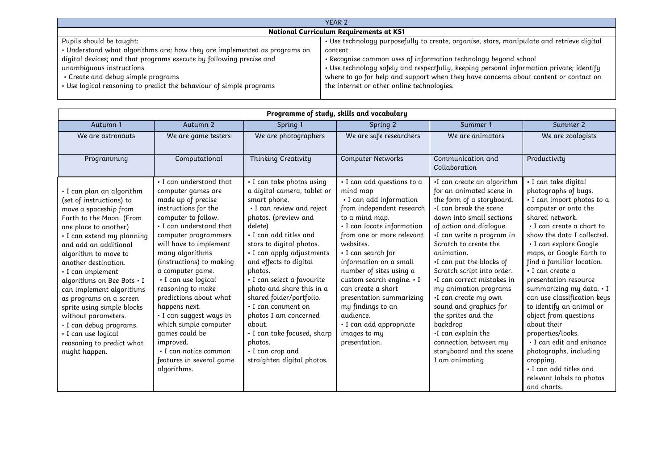| YEAR <sub>2</sub>                                                         |                                                                                           |  |  |  |
|---------------------------------------------------------------------------|-------------------------------------------------------------------------------------------|--|--|--|
| National Curriculum Requirements at KS1                                   |                                                                                           |  |  |  |
| Pupils should be taught:                                                  | · Use technology purposefully to create, organise, store, manipulate and retrieve digital |  |  |  |
| . Understand what algorithms are; how they are implemented as programs on | content                                                                                   |  |  |  |
| digital devices; and that programs execute by following precise and       | . Recognise common uses of information technology beyond school                           |  |  |  |
| unambiquous instructions                                                  | · Use technology safely and respectfully, keeping personal information private; identify  |  |  |  |
| • Create and debug simple programs                                        | where to go for help and support when they have concerns about content or contact on      |  |  |  |
| . Use logical reasoning to predict the behaviour of simple programs       | the internet or other online technologies.                                                |  |  |  |
|                                                                           |                                                                                           |  |  |  |

| Programme of study, skills and vocabulary                                                                                                                                                                                                                                                                                                                                                                                                                                                                       |                                                                                                                                                                                                                                                                                                                                                                                                                                                                                                                  |                                                                                                                                                                                                                                                                                                                                                                                                                                                                                                              |                                                                                                                                                                                                                                                                                                                                                                                                                                                  |                                                                                                                                                                                                                                                                                                                                                                                                                                                                                                                                            |                                                                                                                                                                                                                                                                                                                                                                                                                                                                                                                                                                                                               |  |
|-----------------------------------------------------------------------------------------------------------------------------------------------------------------------------------------------------------------------------------------------------------------------------------------------------------------------------------------------------------------------------------------------------------------------------------------------------------------------------------------------------------------|------------------------------------------------------------------------------------------------------------------------------------------------------------------------------------------------------------------------------------------------------------------------------------------------------------------------------------------------------------------------------------------------------------------------------------------------------------------------------------------------------------------|--------------------------------------------------------------------------------------------------------------------------------------------------------------------------------------------------------------------------------------------------------------------------------------------------------------------------------------------------------------------------------------------------------------------------------------------------------------------------------------------------------------|--------------------------------------------------------------------------------------------------------------------------------------------------------------------------------------------------------------------------------------------------------------------------------------------------------------------------------------------------------------------------------------------------------------------------------------------------|--------------------------------------------------------------------------------------------------------------------------------------------------------------------------------------------------------------------------------------------------------------------------------------------------------------------------------------------------------------------------------------------------------------------------------------------------------------------------------------------------------------------------------------------|---------------------------------------------------------------------------------------------------------------------------------------------------------------------------------------------------------------------------------------------------------------------------------------------------------------------------------------------------------------------------------------------------------------------------------------------------------------------------------------------------------------------------------------------------------------------------------------------------------------|--|
| Autumn 1                                                                                                                                                                                                                                                                                                                                                                                                                                                                                                        | Autumn <sub>2</sub>                                                                                                                                                                                                                                                                                                                                                                                                                                                                                              | Spring 1                                                                                                                                                                                                                                                                                                                                                                                                                                                                                                     | Spring 2                                                                                                                                                                                                                                                                                                                                                                                                                                         | Summer 1                                                                                                                                                                                                                                                                                                                                                                                                                                                                                                                                   | Summer 2                                                                                                                                                                                                                                                                                                                                                                                                                                                                                                                                                                                                      |  |
| We are astronauts                                                                                                                                                                                                                                                                                                                                                                                                                                                                                               | We are game testers                                                                                                                                                                                                                                                                                                                                                                                                                                                                                              | We are photographers                                                                                                                                                                                                                                                                                                                                                                                                                                                                                         | We are safe researchers                                                                                                                                                                                                                                                                                                                                                                                                                          | We are animators                                                                                                                                                                                                                                                                                                                                                                                                                                                                                                                           | We are zoologists                                                                                                                                                                                                                                                                                                                                                                                                                                                                                                                                                                                             |  |
| Programming                                                                                                                                                                                                                                                                                                                                                                                                                                                                                                     | Computational                                                                                                                                                                                                                                                                                                                                                                                                                                                                                                    | Thinking Creativity                                                                                                                                                                                                                                                                                                                                                                                                                                                                                          | <b>Computer Networks</b>                                                                                                                                                                                                                                                                                                                                                                                                                         | Communication and<br>Collaboration                                                                                                                                                                                                                                                                                                                                                                                                                                                                                                         | Productivity                                                                                                                                                                                                                                                                                                                                                                                                                                                                                                                                                                                                  |  |
| · I can plan an algorithm<br>(set of instructions) to<br>move a spaceship from<br>Earth to the Moon. (From<br>one place to another)<br>· I can extend my planning<br>and add an additional<br>algorithm to move to<br>another destination.<br>$\cdot$ I can implement<br>algorithms on Bee Bots . I<br>can implement algorithms<br>as programs on a screen<br>sprite using simple blocks<br>without parameters.<br>· I can debug programs.<br>· I can use logical<br>reasoning to predict what<br>might happen. | . I can understand that<br>computer games are<br>made up of precise<br>instructions for the<br>computer to follow.<br>. I can understand that<br>computer programmers<br>will have to implement<br>many algorithms<br>(instructions) to making<br>a computer game.<br>· I can use logical<br>reasoning to make<br>predictions about what<br>happens next.<br>· I can suggest ways in<br>which simple computer<br>games could be<br>improved.<br>• I can notice common<br>features in several game<br>algorithms. | · I can take photos using<br>a digital camera, tablet or<br>smart phone.<br>· I can review and reject<br>photos. (preview and<br>delete)<br>• I can add titles and<br>stars to digital photos.<br>· I can apply adjustments<br>and effects to digital<br>photos.<br>· I can select a favourite<br>photo and share this in a<br>shared folder/portfolio.<br>• I can comment on<br>photos I am concerned<br>about.<br>· I can take focused, sharp<br>photos.<br>• I can crop and<br>straighten digital photos. | · I can add questions to a<br>mind map<br>· I can add information<br>from independent research<br>to a mind map.<br>· I can locate information<br>from one or more relevant<br>websites.<br>• I can search for<br>information on a small<br>number of sites using a<br>custom search engine. • I<br>can create a short<br>presentation summarizing<br>my findings to an<br>audience.<br>· I can add appropriate<br>images to my<br>presentation. | ·I can create an algorithm<br>for an animated scene in<br>the form of a storyboard.<br>.I can break the scene<br>down into small sections<br>of action and dialoque.<br>·I can write a program in<br>Scratch to create the<br>animation.<br>·I can put the blocks of<br>Scratch script into order.<br>I can correct mistakes in<br>my animation programs<br>·I can create my own<br>sound and graphics for<br>the sprites and the<br>backdrop<br>·I can explain the<br>connection between my<br>storyboard and the scene<br>I am animating | · I can take digital<br>photographs of bugs.<br>· I can import photos to a<br>computer or onto the<br>shared network.<br>• I can create a chart to<br>show the data I collected.<br>• I can explore Google<br>maps, or Google Earth to<br>find a familiar location.<br>· I can create a<br>presentation resource<br>summarizing my data. . I<br>can use classification keys<br>to identify an animal or<br>object from questions<br>about their<br>properties/looks.<br>. I can edit and enhance<br>photographs, including<br>cropping.<br>· I can add titles and<br>relevant labels to photos<br>and charts. |  |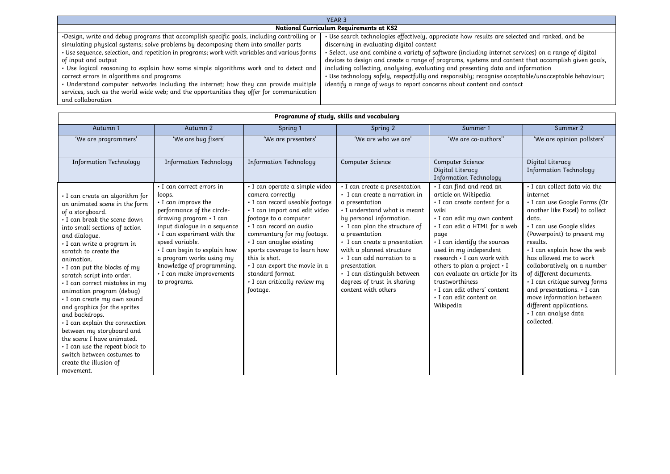| YEAR <sub>3</sub>                                                                            |                                                                                                           |  |  |  |  |  |
|----------------------------------------------------------------------------------------------|-----------------------------------------------------------------------------------------------------------|--|--|--|--|--|
|                                                                                              | <b>National Curriculum Requirements at KS2</b>                                                            |  |  |  |  |  |
| . Design, write and debug programs that accomplish specific goals, including controlling or  | Use search technologies effectively, appreciate how results are selected and ranked, and be               |  |  |  |  |  |
| simulating physical systems; solve problems by decomposing them into smaller parts           | discerning in evaluating digital content                                                                  |  |  |  |  |  |
| • Use sequence, selection, and repetition in programs; work with variables and various forms | $\cdot$ Select, use and combine a variety of software (including internet services) on a range of digital |  |  |  |  |  |
| of input and output                                                                          | devices to design and create a range of programs, systems and content that accomplish given goals,        |  |  |  |  |  |
| . Use logical reasoning to explain how some simple algorithms work and to detect and         | including collecting, analysing, evaluating and presenting data and information                           |  |  |  |  |  |
| correct errors in algorithms and programs                                                    | · Use technology safely, respectfully and responsibly; recognise acceptable/unacceptable behaviour;       |  |  |  |  |  |
| • Understand computer networks including the internet; how they can provide multiple         | identify a range of ways to report concerns about content and contact                                     |  |  |  |  |  |
| services, such as the world wide web; and the opportunities they offer for communication     |                                                                                                           |  |  |  |  |  |
| and collaboration                                                                            |                                                                                                           |  |  |  |  |  |

| Programme of study, skills and vocabulary                                                                                                                                                                                                                                                                                                                                                                                                                                                                                                                                                                                                                    |                                                                                                                                                                                                                                                                                                                                                   |                                                                                                                                                                                                                                                                                                                                                                                     |                                                                                                                                                                                                                                                                                                                                                                                                                   |                                                                                                                                                                                                                                                                                                                                                                                                                                    |                                                                                                                                                                                                                                                                                                                                                                                                                                                                           |  |
|--------------------------------------------------------------------------------------------------------------------------------------------------------------------------------------------------------------------------------------------------------------------------------------------------------------------------------------------------------------------------------------------------------------------------------------------------------------------------------------------------------------------------------------------------------------------------------------------------------------------------------------------------------------|---------------------------------------------------------------------------------------------------------------------------------------------------------------------------------------------------------------------------------------------------------------------------------------------------------------------------------------------------|-------------------------------------------------------------------------------------------------------------------------------------------------------------------------------------------------------------------------------------------------------------------------------------------------------------------------------------------------------------------------------------|-------------------------------------------------------------------------------------------------------------------------------------------------------------------------------------------------------------------------------------------------------------------------------------------------------------------------------------------------------------------------------------------------------------------|------------------------------------------------------------------------------------------------------------------------------------------------------------------------------------------------------------------------------------------------------------------------------------------------------------------------------------------------------------------------------------------------------------------------------------|---------------------------------------------------------------------------------------------------------------------------------------------------------------------------------------------------------------------------------------------------------------------------------------------------------------------------------------------------------------------------------------------------------------------------------------------------------------------------|--|
| Autumn 1                                                                                                                                                                                                                                                                                                                                                                                                                                                                                                                                                                                                                                                     | Autumn 2                                                                                                                                                                                                                                                                                                                                          | Spring 1                                                                                                                                                                                                                                                                                                                                                                            | Spring 2                                                                                                                                                                                                                                                                                                                                                                                                          | Summer 1                                                                                                                                                                                                                                                                                                                                                                                                                           | Summer 2                                                                                                                                                                                                                                                                                                                                                                                                                                                                  |  |
| 'We are programmers'                                                                                                                                                                                                                                                                                                                                                                                                                                                                                                                                                                                                                                         | 'We are bug fixers'                                                                                                                                                                                                                                                                                                                               | 'We are presenters'                                                                                                                                                                                                                                                                                                                                                                 | 'We are who we are'                                                                                                                                                                                                                                                                                                                                                                                               | 'We are co-authors''                                                                                                                                                                                                                                                                                                                                                                                                               | 'We are opinion pollsters'                                                                                                                                                                                                                                                                                                                                                                                                                                                |  |
| <b>Information Technology</b>                                                                                                                                                                                                                                                                                                                                                                                                                                                                                                                                                                                                                                | <b>Information Technology</b>                                                                                                                                                                                                                                                                                                                     | <b>Information Technology</b>                                                                                                                                                                                                                                                                                                                                                       | <b>Computer Science</b>                                                                                                                                                                                                                                                                                                                                                                                           | <b>Computer Science</b><br>Digital Literacy<br><b>Information Technology</b>                                                                                                                                                                                                                                                                                                                                                       | Digital Literacy<br><b>Information Technology</b>                                                                                                                                                                                                                                                                                                                                                                                                                         |  |
| • I can create an algorithm for<br>an animated scene in the form<br>of a storyboard.<br>. I can break the scene down<br>into small sections of action<br>and dialoque.<br>· I can write a program in<br>scratch to create the<br>animation.<br>. I can put the blocks of my<br>scratch script into order.<br>· I can correct mistakes in my<br>animation program (debug)<br>· I can create my own sound<br>and graphics for the sprites<br>and backdrops.<br>• I can explain the connection<br>between my storyboard and<br>the scene I have animated.<br>I can use the repeat block to<br>switch between costumes to<br>create the illusion of<br>movement. | • I can correct errors in<br>loops.<br>$\cdot$ I can improve the<br>performance of the circle-<br>drawing program · I can<br>input dialogue in a sequence<br>• I can experiment with the<br>speed variable.<br>· I can begin to explain how<br>a program works using my<br>knowledge of programming.<br>· I can make improvements<br>to programs. | · I can operate a simple video<br>camera correctly<br>· I can record useable footage<br>. I can import and edit video<br>footage to a computer<br>I can record an audio<br>commentary for my footage.<br>· I can anaylse existing<br>sports coverage to learn how<br>this is shot.<br>. I can export the movie in a<br>standard format.<br>• I can critically review my<br>footage. | $\cdot$ I can create a presentation<br>$\cdot$ I can create a narration in<br>a presentation<br>• I understand what is meant<br>by personal information.<br>• I can plan the structure of<br>a presentation<br>• I can create a presentation<br>with a planned structure<br>$\cdot$ I can add narration to a<br>presentation<br>· I can distinguish between<br>degrees of trust in sharing<br>content with others | • I can find and read an<br>article on Wikipedia<br>$\cdot$ I can create content for a<br>wiki<br>· I can edit my own content<br>· I can edit a HTML for a web<br>page<br>• I can identify the sources<br>used in my independent<br>research • I can work with<br>others to plan a project . I<br>can evaluate an article for its<br>trustworthiness<br>. I can edit others' content<br>$\cdot$ I can edit content on<br>Wikipedia | . I can collect data via the<br>internet<br>· I can use Google Forms (Or<br>another like Excel) to collect<br>data.<br>· I can use Google slides<br>(Powerpoint) to present my<br>results.<br>• I can explain how the web<br>has allowed me to work<br>collaboratively on a number<br>of different documents.<br>· I can critique survey forms<br>and presentations. • I can<br>move information between<br>different applications.<br>· I can analyse data<br>collected. |  |

## *Programme of study, skills and vocabulary*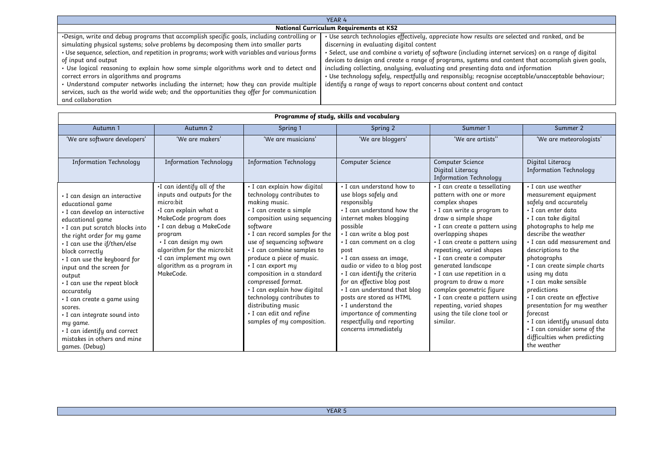| YEAR 4                                                                                       |                                                                                                     |  |  |  |  |
|----------------------------------------------------------------------------------------------|-----------------------------------------------------------------------------------------------------|--|--|--|--|
| <b>National Curriculum Requirements at KS2</b>                                               |                                                                                                     |  |  |  |  |
| .Design, write and debug programs that accomplish specific goals, including controlling or   | Use search technologies effectively, appreciate how results are selected and ranked, and be         |  |  |  |  |
| simulating physical systems; solve problems by decomposing them into smaller parts           | discerning in evaluating digital content                                                            |  |  |  |  |
| . Use sequence, selection, and repetition in programs; work with variables and various forms | Select, use and combine a variety of software (including internet services) on a range of digital • |  |  |  |  |
| of input and output                                                                          | devices to design and create a range of programs, systems and content that accomplish given goals,  |  |  |  |  |
| · Use logical reasoning to explain how some simple algorithms work and to detect and         | including collecting, analysing, evaluating and presenting data and information                     |  |  |  |  |
| correct errors in algorithms and programs                                                    | · Use technology safely, respectfully and responsibly; recognise acceptable/unacceptable behaviour; |  |  |  |  |
| • Understand computer networks including the internet; how they can provide multiple         | identify a range of ways to report concerns about content and contact                               |  |  |  |  |
| services, such as the world wide web; and the opportunities they offer for communication     |                                                                                                     |  |  |  |  |
| and collaboration                                                                            |                                                                                                     |  |  |  |  |

| Programme of study, skills and vocabulary                                                                                                                                                                                                                                                                                                                                                                                                                                                                                     |                                                                                                                                                                                                                                                                                                    |                                                                                                                                                                                                                                                                                                                                                                                                                                                                                                      |                                                                                                                                                                                                                                                                                                                                                                                                                                                                                                         |                                                                                                                                                                                                                                                                                                                                                                                                                                                                                                                             |                                                                                                                                                                                                                                                                                                                                                                                                                                                                                                                                     |  |
|-------------------------------------------------------------------------------------------------------------------------------------------------------------------------------------------------------------------------------------------------------------------------------------------------------------------------------------------------------------------------------------------------------------------------------------------------------------------------------------------------------------------------------|----------------------------------------------------------------------------------------------------------------------------------------------------------------------------------------------------------------------------------------------------------------------------------------------------|------------------------------------------------------------------------------------------------------------------------------------------------------------------------------------------------------------------------------------------------------------------------------------------------------------------------------------------------------------------------------------------------------------------------------------------------------------------------------------------------------|---------------------------------------------------------------------------------------------------------------------------------------------------------------------------------------------------------------------------------------------------------------------------------------------------------------------------------------------------------------------------------------------------------------------------------------------------------------------------------------------------------|-----------------------------------------------------------------------------------------------------------------------------------------------------------------------------------------------------------------------------------------------------------------------------------------------------------------------------------------------------------------------------------------------------------------------------------------------------------------------------------------------------------------------------|-------------------------------------------------------------------------------------------------------------------------------------------------------------------------------------------------------------------------------------------------------------------------------------------------------------------------------------------------------------------------------------------------------------------------------------------------------------------------------------------------------------------------------------|--|
| Autumn 1                                                                                                                                                                                                                                                                                                                                                                                                                                                                                                                      | Autumn 2                                                                                                                                                                                                                                                                                           | Spring 1                                                                                                                                                                                                                                                                                                                                                                                                                                                                                             | Spring 2                                                                                                                                                                                                                                                                                                                                                                                                                                                                                                | Summer 1                                                                                                                                                                                                                                                                                                                                                                                                                                                                                                                    | Summer 2                                                                                                                                                                                                                                                                                                                                                                                                                                                                                                                            |  |
| 'We are software developers'                                                                                                                                                                                                                                                                                                                                                                                                                                                                                                  | 'We are makers'                                                                                                                                                                                                                                                                                    | 'We are musicians'                                                                                                                                                                                                                                                                                                                                                                                                                                                                                   | 'We are bloggers'                                                                                                                                                                                                                                                                                                                                                                                                                                                                                       | 'We are artists"                                                                                                                                                                                                                                                                                                                                                                                                                                                                                                            | 'We are meteorologists'                                                                                                                                                                                                                                                                                                                                                                                                                                                                                                             |  |
| <b>Information Technology</b>                                                                                                                                                                                                                                                                                                                                                                                                                                                                                                 | <b>Information Technology</b>                                                                                                                                                                                                                                                                      | <b>Information Technology</b>                                                                                                                                                                                                                                                                                                                                                                                                                                                                        | Computer Science                                                                                                                                                                                                                                                                                                                                                                                                                                                                                        | Computer Science<br>Digital Literacy<br><b>Information Technology</b>                                                                                                                                                                                                                                                                                                                                                                                                                                                       | Digital Literacy<br><b>Information Technology</b>                                                                                                                                                                                                                                                                                                                                                                                                                                                                                   |  |
| · I can design an interactive<br>educational game<br>· I can develop an interactive<br>educational game<br>· I can put scratch blocks into<br>the right order for my game<br>$\cdot$ I can use the if/then/else<br>block correctly<br>. I can use the keyboard for<br>input and the screen for<br>output<br>. I can use the repeat block<br>accurately<br>· I can create a game using<br>scores.<br>• I can integrate sound into<br>my game.<br>• I can identify and correct<br>mistakes in others and mine<br>games. (Debug) | $\cdot$ I can identify all of the<br>inputs and outputs for the<br>micro:bit<br>•I can explain what a<br>MakeCode program does<br>· I can debug a MakeCode<br>program<br>• I can design my own<br>algorithm for the micro:bit<br>•I can implement my own<br>algorithm as a program in<br>MakeCode. | • I can explain how digital<br>technology contributes to<br>making music.<br>$\cdot$ I can create a simple<br>composition using sequencing<br>software<br>• I can record samples for the<br>use of sequencing software<br>• I can combine samples to<br>produce a piece of music.<br>• I can export my<br>composition in a standard<br>compressed format.<br>· I can explain how digital<br>technology contributes to<br>distributing music<br>• I can edit and refine<br>samples of my composition. | . I can understand how to<br>use blogs safely and<br>responsibly<br>• I can understand how the<br>internet makes blogging<br>possible<br>· I can write a blog post<br>• I can comment on a clog<br>post<br>· I can assess an image,<br>audio or video to a blog post<br>• I can identify the criteria<br>for an effective blog post<br>. I can understand that blog<br>posts are stored as HTML<br>• I understand the<br>importance of commenting<br>respectfully and reporting<br>concerns immediately | • I can create a tessellating<br>pattern with one or more<br>complex shapes<br>• I can write a program to<br>draw a simple shape<br>$\cdot$ I can create a pattern using<br>overlapping shapes<br>$\cdot$ I can create a pattern using<br>repeating, varied shapes<br>· I can create a computer<br>generated landscape<br>$\cdot$ I can use repetition in a<br>program to draw a more<br>complex geometric figure<br>· I can create a pattern using<br>repeating, varied shapes<br>using the tile clone tool or<br>similar. | . I can use weather<br>measurement equipment<br>safely and accurately<br>• I can enter data<br>• I can take digital<br>photographs to help me<br>describe the weather<br>$\cdot$ I can add measurement and<br>descriptions to the<br>photographs<br>· I can create simple charts<br>using my data<br>• I can make sensible<br>predictions<br>• I can create an effective<br>presentation for my weather<br>forecast<br>• I can identify unusual data<br>. I can consider some of the<br>difficulties when predicting<br>the weather |  |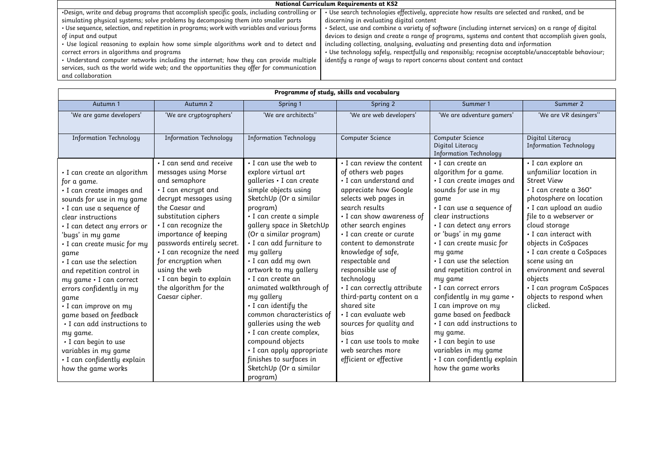| <b>National Curriculum Requirements at KS2</b>                                               |                                                                                                     |  |  |  |  |
|----------------------------------------------------------------------------------------------|-----------------------------------------------------------------------------------------------------|--|--|--|--|
| .Design, write and debug programs that accomplish specific goals, including controlling or   | • Use search technologies effectively, appreciate how results are selected and ranked, and be       |  |  |  |  |
| simulating physical systems; solve problems by decomposing them into smaller parts           | discerning in evaluating digital content                                                            |  |  |  |  |
| . Use sequence, selection, and repetition in programs; work with variables and various forms | Select, use and combine a variety of software (including internet services) on a range of digital • |  |  |  |  |
| of input and output                                                                          | devices to design and create a range of programs, systems and content that accomplish given goals,  |  |  |  |  |
| • Use logical reasoning to explain how some simple algorithms work and to detect and         | including collecting, analysing, evaluating and presenting data and information                     |  |  |  |  |
| correct errors in algorithms and programs                                                    | · Use technology safely, respectfully and responsibly; recognise acceptable/unacceptable behaviour; |  |  |  |  |
| • Understand computer networks including the internet; how they can provide multiple         | identify a range of ways to report concerns about content and contact                               |  |  |  |  |
| services, such as the world wide web; and the opportunities they offer for communication     |                                                                                                     |  |  |  |  |
| and collaboration                                                                            |                                                                                                     |  |  |  |  |

| Programme of study, skills and vocabulary                                                                                                                                                                                                                                                                                                                                                                                                                                                                                                                                       |                                                                                                                                                                                                                                                                                                                                                                                           |                                                                                                                                                                                                                                                                                                                                                                                                                                                                                                                                                                                                                     |                                                                                                                                                                                                                                                                                                                                                                                                                                                                                                                                                         |                                                                                                                                                                                                                                                                                                                                                                                                                                                                                                                                                                                          |                                                                                                                                                                                                                                                                                                                                                                                                                      |  |
|---------------------------------------------------------------------------------------------------------------------------------------------------------------------------------------------------------------------------------------------------------------------------------------------------------------------------------------------------------------------------------------------------------------------------------------------------------------------------------------------------------------------------------------------------------------------------------|-------------------------------------------------------------------------------------------------------------------------------------------------------------------------------------------------------------------------------------------------------------------------------------------------------------------------------------------------------------------------------------------|---------------------------------------------------------------------------------------------------------------------------------------------------------------------------------------------------------------------------------------------------------------------------------------------------------------------------------------------------------------------------------------------------------------------------------------------------------------------------------------------------------------------------------------------------------------------------------------------------------------------|---------------------------------------------------------------------------------------------------------------------------------------------------------------------------------------------------------------------------------------------------------------------------------------------------------------------------------------------------------------------------------------------------------------------------------------------------------------------------------------------------------------------------------------------------------|------------------------------------------------------------------------------------------------------------------------------------------------------------------------------------------------------------------------------------------------------------------------------------------------------------------------------------------------------------------------------------------------------------------------------------------------------------------------------------------------------------------------------------------------------------------------------------------|----------------------------------------------------------------------------------------------------------------------------------------------------------------------------------------------------------------------------------------------------------------------------------------------------------------------------------------------------------------------------------------------------------------------|--|
| Autumn 1                                                                                                                                                                                                                                                                                                                                                                                                                                                                                                                                                                        | Autumn 2                                                                                                                                                                                                                                                                                                                                                                                  | Spring 1                                                                                                                                                                                                                                                                                                                                                                                                                                                                                                                                                                                                            | Spring 2                                                                                                                                                                                                                                                                                                                                                                                                                                                                                                                                                | Summer 1                                                                                                                                                                                                                                                                                                                                                                                                                                                                                                                                                                                 | Summer 2                                                                                                                                                                                                                                                                                                                                                                                                             |  |
| 'We are game developers'                                                                                                                                                                                                                                                                                                                                                                                                                                                                                                                                                        | 'We are cryptographers'                                                                                                                                                                                                                                                                                                                                                                   | 'We are architects"                                                                                                                                                                                                                                                                                                                                                                                                                                                                                                                                                                                                 | 'We are web developers'                                                                                                                                                                                                                                                                                                                                                                                                                                                                                                                                 | 'We are adventure gamers'                                                                                                                                                                                                                                                                                                                                                                                                                                                                                                                                                                | 'We are VR desingers"                                                                                                                                                                                                                                                                                                                                                                                                |  |
| <b>Information Technology</b>                                                                                                                                                                                                                                                                                                                                                                                                                                                                                                                                                   | <b>Information Technology</b>                                                                                                                                                                                                                                                                                                                                                             | <b>Information Technology</b>                                                                                                                                                                                                                                                                                                                                                                                                                                                                                                                                                                                       | Computer Science                                                                                                                                                                                                                                                                                                                                                                                                                                                                                                                                        | <b>Computer Science</b><br>Digital Literacy<br><b>Information Technology</b>                                                                                                                                                                                                                                                                                                                                                                                                                                                                                                             | Digital Literacy<br><b>Information Technology</b>                                                                                                                                                                                                                                                                                                                                                                    |  |
| · I can create an algorithm<br>for a game.<br>· I can create images and<br>sounds for use in my game<br>· I can use a sequence of<br>clear instructions<br>· I can detect any errors or<br>'bugs' in my game<br>· I can create music for my<br>game<br>• I can use the selection<br>and repetition control in<br>my game . I can correct<br>errors confidently in my<br>game<br>• I can improve on my<br>game based on feedback<br>• I can add instructions to<br>my game.<br>• I can begin to use<br>variables in my game<br>· I can confidently explain<br>how the game works | . I can send and receive<br>messages using Morse<br>and semaphore<br>• I can encrypt and<br>decrypt messages using<br>the Caesar and<br>substitution ciphers<br>· I can recognize the<br>importance of keeping<br>passwords entirely secret.<br>· I can recognize the need<br>for encryption when<br>using the web<br>· I can begin to explain<br>the algorithm for the<br>Caesar cipher. | . I can use the web to<br>explore virtual art<br>qalleries · I can create<br>simple objects using<br>SketchUp (Or a similar<br>program)<br>· I can create a simple<br>gallery space in SketchUp<br>(Or a similar program)<br>· I can add furniture to<br>my gallery<br>· I can add my own<br>artwork to my gallery<br>$\cdot$ I can create an<br>animated walkthrough of<br>my gallery<br>. I can identify the<br>common characteristics of<br>galleries using the web<br>· I can create complex,<br>compound objects<br>· I can apply appropriate<br>finishes to surfaces in<br>SketchUp (Or a similar<br>program) | • I can review the content<br>of others web pages<br>· I can understand and<br>appreciate how Google<br>selects web pages in<br>search results<br>• I can show awareness of<br>other search engines<br>· I can create or curate<br>content to demonstrate<br>knowledge of safe,<br>respectable and<br>responsible use of<br>technology<br>· I can correctly attribute<br>third-party content on a<br>shared site<br>· I can evaluate web<br>sources for quality and<br>bias<br>. I can use tools to make<br>web searches more<br>efficient or effective | • I can create an<br>algorithm for a game.<br>· I can create images and<br>sounds for use in my<br>game<br>· I can use a sequence of<br>clear instructions<br>· I can detect any errors<br>or 'bugs' in my game<br>· I can create music for<br>my game<br>. I can use the selection<br>and repetition control in<br>my game<br>• I can correct errors<br>confidently in my game .<br>I can improve on my<br>game based on feedback<br>• I can add instructions to<br>my game.<br>$\cdot$ I can begin to use<br>variables in my game<br>· I can confidently explain<br>how the game works | · I can explore an<br>unfamiliar location in<br><b>Street View</b><br>$\cdot$ I can create a 360 $^{\circ}$<br>photosphere on location<br>· I can upload an audio<br>file to a webserver or<br>cloud storage<br>. I can interact with<br>objects in CoSpaces<br>• I can create a CoSpaces<br>scene using an<br>environment and several<br>objects<br>• I can program CoSpaces<br>objects to respond when<br>clicked. |  |